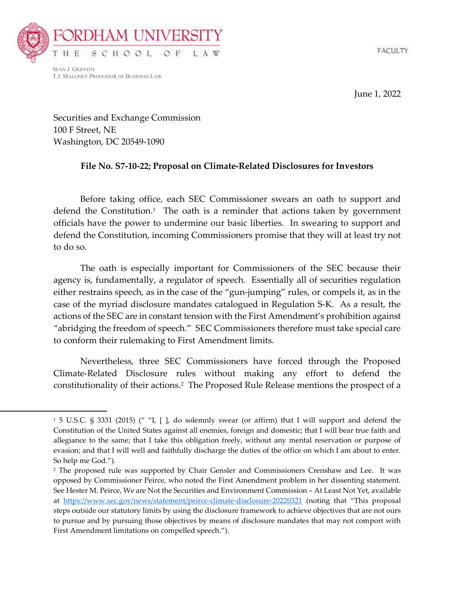



SEAN J. GRIFFITH T.J. MALONEY PROFESSOR OF BUSINESS LAW

June 1, 2022

Securities and Exchange Commission 100 F Street, NE Washington, DC 20549-1090

## File No. S7-10-22; Proposal on Climate-Related Disclosures for Investors

 Before taking office, each SEC Commissioner swears an oath to support and defend the Constitution.<sup>1</sup> The oath is a reminder that actions taken by government officials have the power to undermine our basic liberties. In swearing to support and defend the Constitution, incoming Commissioners promise that they will at least try not to do so.

 The oath is especially important for Commissioners of the SEC because their agency is, fundamentally, a regulator of speech. Essentially all of securities regulation either restrains speech, as in the case of the "gun-jumping" rules, or compels it, as in the case of the myriad disclosure mandates catalogued in Regulation S-K. As a result, the actions of the SEC are in constant tension with the First Amendment's prohibition against "abridging the freedom of speech." SEC Commissioners therefore must take special care to conform their rulemaking to First Amendment limits.

 Nevertheless, three SEC Commissioners have forced through the Proposed Climate-Related Disclosure rules without making any effort to defend the constitutionality of their actions.<sup>2</sup> The Proposed Rule Release mentions the prospect of a

<sup>1</sup> 5 U.S.C. § 3331 (2015) (" "I, [ ], do solemnly swear (or affirm) that I will support and defend the Constitution of the United States against all enemies, foreign and domestic; that I will bear true faith and allegiance to the same; that I take this obligation freely, without any mental reservation or purpose of evasion; and that I will well and faithfully discharge the duties of the office on which I am about to enter. So help me God.").

<sup>2</sup> The proposed rule was supported by Chair Gensler and Commissioners Crenshaw and Lee. It was opposed by Commissioner Peirce, who noted the First Amendment problem in her dissenting statement. See Hester M. Peirce, We are Not the Securities and Environment Commission – At Least Not Yet, available at https://www.sec.gov/news/statement/peirce-climate-disclosure-20220321 (noting that "This proposal steps outside our statutory limits by using the disclosure framework to achieve objectives that are not ours to pursue and by pursuing those objectives by means of disclosure mandates that may not comport with First Amendment limitations on compelled speech.").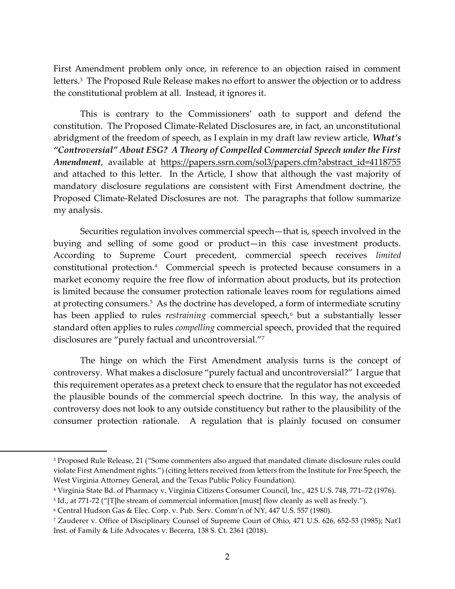First Amendment problem only once, in reference to an objection raised in comment letters.<sup>3</sup> The Proposed Rule Release makes no effort to answer the objection or to address the constitutional problem at all. Instead, it ignores it.

 This is contrary to the Commissioners' oath to support and defend the constitution. The Proposed Climate-Related Disclosures are, in fact, an unconstitutional abridgment of the freedom of speech, as I explain in my draft law review article, What's "Controversial" About ESG? A Theory of Compelled Commercial Speech under the First Amendment, available at https://papers.ssrn.com/sol3/papers.cfm?abstract\_id=4118755 and attached to this letter. In the Article, I show that although the vast majority of mandatory disclosure regulations are consistent with First Amendment doctrine, the Proposed Climate-Related Disclosures are not. The paragraphs that follow summarize my analysis.

 Securities regulation involves commercial speech—that is, speech involved in the buying and selling of some good or product—in this case investment products. According to Supreme Court precedent, commercial speech receives limited constitutional protection.<sup>4</sup> Commercial speech is protected because consumers in a market economy require the free flow of information about products, but its protection is limited because the consumer protection rationale leaves room for regulations aimed at protecting consumers.<sup>5</sup> As the doctrine has developed, a form of intermediate scrutiny has been applied to rules *restraining* commercial speech,<sup>6</sup> but a substantially lesser standard often applies to rules compelling commercial speech, provided that the required disclosures are "purely factual and uncontroversial."<sup>7</sup>

The hinge on which the First Amendment analysis turns is the concept of controversy. What makes a disclosure "purely factual and uncontroversial?" I argue that this requirement operates as a pretext check to ensure that the regulator has not exceeded the plausible bounds of the commercial speech doctrine. In this way, the analysis of controversy does not look to any outside constituency but rather to the plausibility of the consumer protection rationale. A regulation that is plainly focused on consumer

<sup>3</sup> Proposed Rule Release, 21 ("Some commenters also argued that mandated climate disclosure rules could violate First Amendment rights.") (citing letters received from letters from the Institute for Free Speech, the West Virginia Attorney General, and the Texas Public Policy Foundation).

<sup>4</sup> Virginia State Bd. of Pharmacy v. Virginia Citizens Consumer Council, Inc., 425 U.S. 748, 771–72 (1976).

<sup>5</sup> Id., at 771-72 ("[T]he stream of commercial information [must] flow cleanly as well as freely.").

<sup>6</sup> Central Hudson Gas & Elec. Corp. v. Pub. Serv. Comm'n of NY, 447 U.S. 557 (1980).

<sup>7</sup> Zauderer v. Office of Disciplinary Counsel of Supreme Court of Ohio, 471 U.S. 626, 652-53 (1985); Nat'l Inst. of Family & Life Advocates v. Becerra, 138 S. Ct. 2361 (2018).